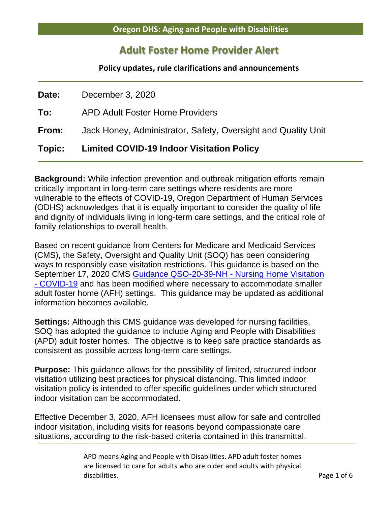## **Adult Foster Home Provider Alert**

**Policy updates, rule clarifications and announcements**

| Topic:       | <b>Limited COVID-19 Indoor Visitation Policy</b>              |  |  |  |
|--------------|---------------------------------------------------------------|--|--|--|
| From:        | Jack Honey, Administrator, Safety, Oversight and Quality Unit |  |  |  |
| To:          | <b>APD Adult Foster Home Providers</b>                        |  |  |  |
| <b>Date:</b> | December 3, 2020                                              |  |  |  |

**Background:** While infection prevention and outbreak mitigation efforts remain critically important in long-term care settings where residents are more vulnerable to the effects of COVID-19, Oregon Department of Human Services (ODHS) acknowledges that it is equally important to consider the quality of life and dignity of individuals living in long-term care settings, and the critical role of family relationships to overall health.

Based on recent guidance from Centers for Medicare and Medicaid Services (CMS), the Safety, Oversight and Quality Unit (SOQ) has been considering ways to responsibly ease visitation restrictions. This guidance is based on the September 17, 2020 CMS [Guidance QSO-20-39-NH -](https://www.cms.gov/files/document/qso-20-39-nh.pdf) Nursing Home Visitation - [COVID-19](https://www.cms.gov/files/document/qso-20-39-nh.pdf) and has been modified where necessary to accommodate smaller adult foster home (AFH) settings. This guidance may be updated as additional information becomes available.

**Settings:** Although this CMS guidance was developed for nursing facilities, SOQ has adopted the guidance to include Aging and People with Disabilities (APD) adult foster homes. The objective is to keep safe practice standards as consistent as possible across long-term care settings.

**Purpose:** This guidance allows for the possibility of limited, structured indoor visitation utilizing best practices for physical distancing. This limited indoor visitation policy is intended to offer specific guidelines under which structured indoor visitation can be accommodated.

Effective December 3, 2020, AFH licensees must allow for safe and controlled indoor visitation, including visits for reasons beyond compassionate care situations, according to the risk-based criteria contained in this transmittal.

> APD means Aging and People with Disabilities. APD adult foster homes are licensed to care for adults who are older and adults with physical disabilities. Page 1 of 6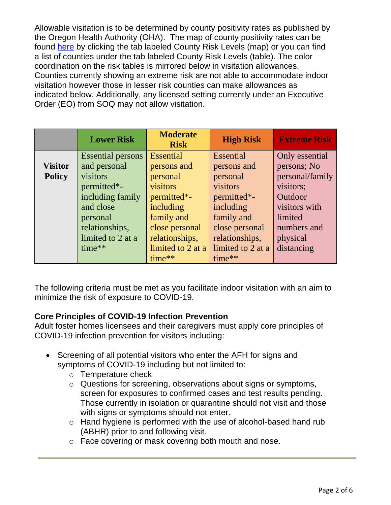Allowable visitation is to be determined by county positivity rates as published by the Oregon Health Authority (OHA). The map of county positivity rates can be found [here](https://govstatus.egov.com/or-covid-19/) by clicking the tab labeled County Risk Levels (map) or you can find a list of counties under the tab labeled County Risk Levels (table). The color coordination on the risk tables is mirrored below in visitation allowances. Counties currently showing an extreme risk are not able to accommodate indoor visitation however those in lesser risk counties can make allowances as indicated below. Additionally, any licensed setting currently under an Executive Order (EO) from SOQ may not allow visitation.

|                | <b>Lower Risk</b>        | <b>Moderate</b><br><b>Risk</b> | <b>High Risk</b>  | <b>Extreme Risk</b> |
|----------------|--------------------------|--------------------------------|-------------------|---------------------|
|                | <b>Essential persons</b> | <b>Essential</b>               | Essential         | Only essential      |
| <b>Visitor</b> | and personal             | persons and                    | persons and       | persons; No         |
| <b>Policy</b>  | visitors                 | personal                       | personal          | personal/family     |
|                | permitted*-              | visitors                       | visitors          | visitors;           |
|                | including family         | permitted*-                    | permitted*-       | Outdoor             |
|                | and close                | including                      | including         | visitors with       |
|                | personal                 | family and                     | family and        | limited             |
|                | relationships,           | close personal                 | close personal    | numbers and         |
|                | limited to 2 at a        | relationships,                 | relationships,    | physical            |
|                | time**                   | limited to 2 at a              | limited to 2 at a | distancing          |
|                |                          | time**                         | time**            |                     |

The following criteria must be met as you facilitate indoor visitation with an aim to minimize the risk of exposure to COVID-19.

## **Core Principles of COVID-19 Infection Prevention**

Adult foster homes licensees and their caregivers must apply core principles of COVID-19 infection prevention for visitors including:

- Screening of all potential visitors who enter the AFH for signs and symptoms of COVID-19 including but not limited to:
	- o Temperature check
	- o Questions for screening, observations about signs or symptoms, screen for exposures to confirmed cases and test results pending. Those currently in isolation or quarantine should not visit and those with signs or symptoms should not enter.
	- o Hand hygiene is performed with the use of alcohol-based hand rub (ABHR) prior to and following visit.
	- o Face covering or mask covering both mouth and nose.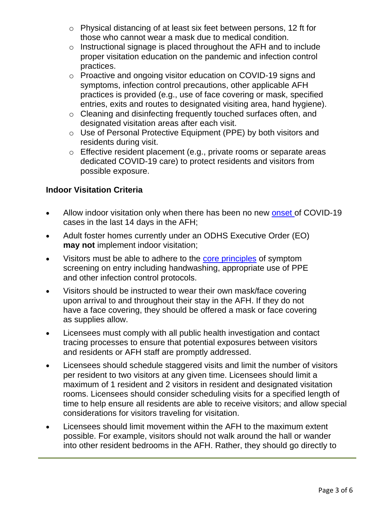- o Physical distancing of at least six feet between persons, 12 ft for those who cannot wear a mask due to medical condition.
- o Instructional signage is placed throughout the AFH and to include proper visitation education on the pandemic and infection control practices.
- o Proactive and ongoing visitor education on COVID-19 signs and symptoms, infection control precautions, other applicable AFH practices is provided (e.g., use of face covering or mask, specified entries, exits and routes to designated visiting area, hand hygiene).
- o Cleaning and disinfecting frequently touched surfaces often, and designated visitation areas after each visit.
- o Use of Personal Protective Equipment (PPE) by both visitors and residents during visit.
- o Effective resident placement (e.g., private rooms or separate areas dedicated COVID-19 care) to protect residents and visitors from possible exposure.

## **Indoor Visitation Criteria**

- Allow indoor visitation only when there has been no new [onset o](https://www.cdc.gov/coronavirus/2019-ncov/hcp/duration-isolation.html)f COVID-19 cases in the last 14 days in the AFH;
- Adult foster homes currently under an ODHS Executive Order (EO) **may not** implement indoor visitation;
- Visitors must be able to adhere to the [core principles](https://www.cms.gov/files/document/qso-20-39-nh.pdf) of symptom screening on entry including handwashing, appropriate use of PPE and other infection control protocols.
- Visitors should be instructed to wear their own mask/face covering upon arrival to and throughout their stay in the AFH. If they do not have a face covering, they should be offered a mask or face covering as supplies allow.
- Licensees must comply with all public health investigation and contact tracing processes to ensure that potential exposures between visitors and residents or AFH staff are promptly addressed.
- Licensees should schedule staggered visits and limit the number of visitors per resident to two visitors at any given time. Licensees should limit a maximum of 1 resident and 2 visitors in resident and designated visitation rooms. Licensees should consider scheduling visits for a specified length of time to help ensure all residents are able to receive visitors; and allow special considerations for visitors traveling for visitation.
- Licensees should limit movement within the AFH to the maximum extent possible. For example, visitors should not walk around the hall or wander into other resident bedrooms in the AFH. Rather, they should go directly to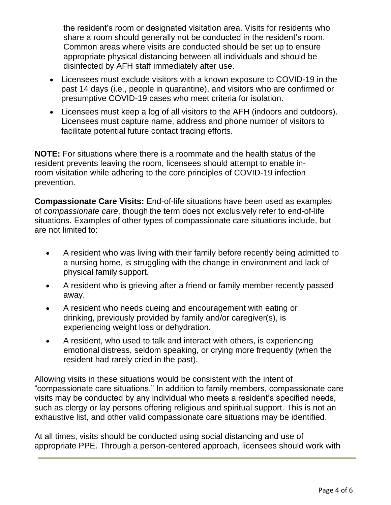the resident's room or designated visitation area. Visits for residents who share a room should generally not be conducted in the resident's room. Common areas where visits are conducted should be set up to ensure appropriate physical distancing between all individuals and should be disinfected by AFH staff immediately after use.

- Licensees must exclude visitors with a known exposure to COVID-19 in the past 14 days (i.e., people in quarantine), and visitors who are confirmed or presumptive COVID-19 cases who meet criteria for isolation.
- Licensees must keep a log of all visitors to the AFH (indoors and outdoors). Licensees must capture name, address and phone number of visitors to facilitate potential future contact tracing efforts.

**NOTE:** For situations where there is a roommate and the health status of the resident prevents leaving the room, licensees should attempt to enable inroom visitation while adhering to the core principles of COVID-19 infection prevention.

**Compassionate Care Visits:** End-of-life situations have been used as examples of *compassionate care*, though the term does not exclusively refer to end-of-life situations. Examples of other types of compassionate care situations include, but are not limited to:

- A resident who was living with their family before recently being admitted to a nursing home, is struggling with the change in environment and lack of physical family support.
- A resident who is grieving after a friend or family member recently passed away.
- A resident who needs cueing and encouragement with eating or drinking, previously provided by family and/or caregiver(s), is experiencing weight loss or dehydration.
- A resident, who used to talk and interact with others, is experiencing emotional distress, seldom speaking, or crying more frequently (when the resident had rarely cried in the past).

Allowing visits in these situations would be consistent with the intent of "compassionate care situations." In addition to family members, compassionate care visits may be conducted by any individual who meets a resident's specified needs, such as clergy or lay persons offering religious and spiritual support. This is not an exhaustive list, and other valid compassionate care situations may be identified.

At all times, visits should be conducted using social distancing and use of appropriate PPE. Through a person-centered approach, licensees should work with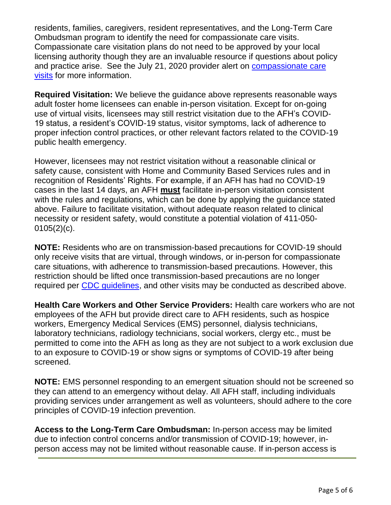residents, families, caregivers, resident representatives, and the Long-Term Care Ombudsman program to identify the need for compassionate care visits. Compassionate care visitation plans do not need to be approved by your local licensing authority though they are an invaluable resource if questions about policy and practice arise. See the July 21, 2020 provider alert on **compassionate care** [visits](https://www.oregon.gov/dhs/PROVIDERS-PARTNERS/LICENSING/APD-AFH/Alerts/2020-0721%20Compassionate%20Care%20Visitation%20Allowances.pdf) for more information.

**Required Visitation:** We believe the guidance above represents reasonable ways adult foster home licensees can enable in-person visitation. Except for on-going use of virtual visits, licensees may still restrict visitation due to the AFH's COVID-19 status, a resident's COVID-19 status, visitor symptoms, lack of adherence to proper infection control practices, or other relevant factors related to the COVID-19 public health emergency.

However, licensees may not restrict visitation without a reasonable clinical or safety cause, consistent with Home and Community Based Services rules and in recognition of Residents' Rights. For example, if an AFH has had no COVID-19 cases in the last 14 days, an AFH **must** facilitate in-person visitation consistent with the rules and regulations, which can be done by applying the guidance stated above. Failure to facilitate visitation, without adequate reason related to clinical necessity or resident safety, would constitute a potential violation of 411-050-  $0105(2)(c)$ .

**NOTE:** Residents who are on transmission-based precautions for COVID-19 should only receive visits that are virtual, through windows, or in-person for compassionate care situations, with adherence to transmission-based precautions. However, this restriction should be lifted once transmission-based precautions are no longer required per [CDC guidelines,](https://www.cdc.gov/coronavirus/2019-ncov/hcp/disposition-hospitalized-patients.html) and other visits may be conducted as described above.

**Health Care Workers and Other Service Providers:** Health care workers who are not employees of the AFH but provide direct care to AFH residents, such as hospice workers, Emergency Medical Services (EMS) personnel, dialysis technicians, laboratory technicians, radiology technicians, social workers, clergy etc., must be permitted to come into the AFH as long as they are not subject to a work exclusion due to an exposure to COVID-19 or show signs or symptoms of COVID-19 after being screened.

**NOTE:** EMS personnel responding to an emergent situation should not be screened so they can attend to an emergency without delay. All AFH staff, including individuals providing services under arrangement as well as volunteers, should adhere to the core principles of COVID-19 infection prevention.

**Access to the Long-Term Care Ombudsman:** In-person access may be limited due to infection control concerns and/or transmission of COVID-19; however, inperson access may not be limited without reasonable cause. If in-person access is